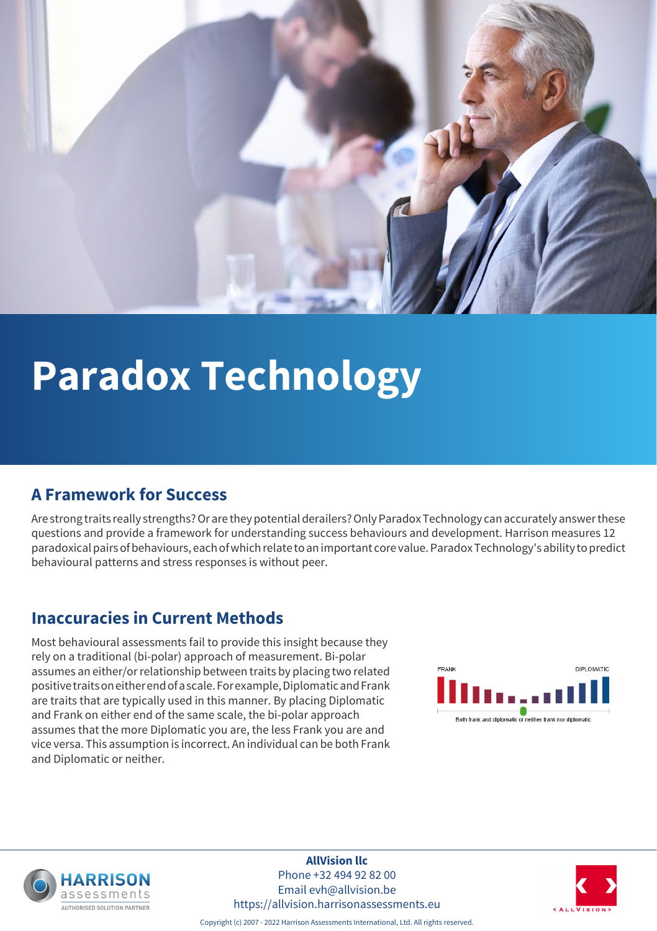

# **Paradox Technology**

### **A Framework for Success**

Are strong traits really strengths? Or are they potential derailers? Only Paradox Technology can accurately answer these questions and provide a framework for understanding success behaviours and development. Harrison measures 12 paradoxical pairs of behaviours, each of which relate to an important core value. Paradox Technology's ability to predict behavioural patterns and stress responses is without peer.

### **Inaccuracies in Current Methods**

Most behavioural assessments fail to provide this insight because they rely on a traditional (bi-polar) approach of measurement. Bi-polar assumes an either/or relationship between traits by placing two related positive traits on either end of a scale. For example, Diplomatic and Frank are traits that are typically used in this manner. By placing Diplomatic and Frank on either end of the same scale, the bi-polar approach assumes that the more Diplomatic you are, the less Frank you are and vice versa. This assumption is incorrect. An individual can be both Frank and Diplomatic or neither.





**AllVision llc** Phone +32 494 92 82 00 Email evh@allvision.be https://allvision.harrisonassessments.eu



Copyright (c) 2007 - 2022 Harrison Assessments International, Ltd. All rights reserved.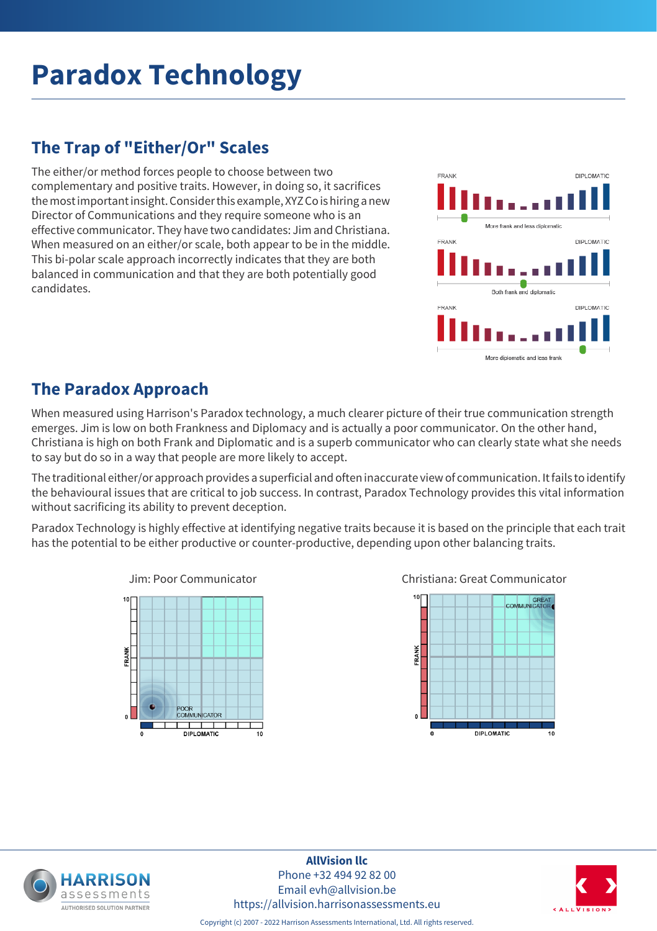# **Paradox Technology**

# **The Trap of "Either/Or" Scales**

The either/or method forces people to choose between two complementary and positive traits. However, in doing so, it sacrifices the most important insight. Consider this example, XYZ Co is hiring a new Director of Communications and they require someone who is an effective communicator. They have two candidates: Jim and Christiana. When measured on an either/or scale, both appear to be in the middle. This bi-polar scale approach incorrectly indicates that they are both balanced in communication and that they are both potentially good candidates.



### **The Paradox Approach**

When measured using Harrison's Paradox technology, a much clearer picture of their true communication strength emerges. Jim is low on both Frankness and Diplomacy and is actually a poor communicator. On the other hand, Christiana is high on both Frank and Diplomatic and is a superb communicator who can clearly state what she needs to say but do so in a way that people are more likely to accept.

The traditional either/or approach provides a superficial and often inaccurate view of communication. It fails to identify the behavioural issues that are critical to job success. In contrast, Paradox Technology provides this vital information without sacrificing its ability to prevent deception.

Paradox Technology is highly effective at identifying negative traits because it is based on the principle that each trait has the potential to be either productive or counter-productive, depending upon other balancing traits.



Jim: Poor Communicator Christiana: Great Communicator









Copyright (c) 2007 - 2022 Harrison Assessments International, Ltd. All rights reserved.